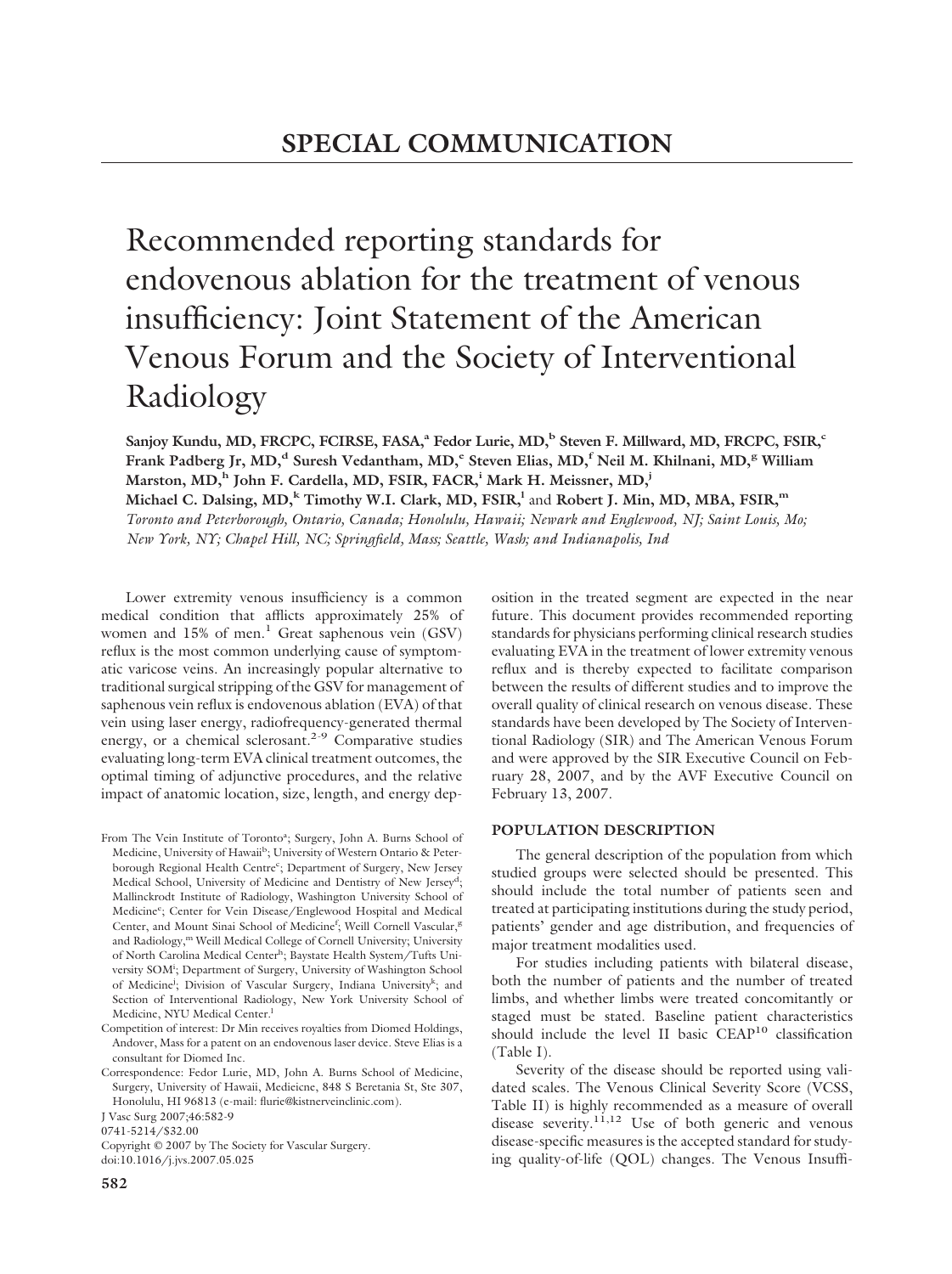# Recommended reporting standards for endovenous ablation for the treatment of venous insufficiency: Joint Statement of the American Venous Forum and the Society of Interventional Radiology

Sanjoy Kundu, MD, FRCPC, FCIRSE, FASA,<sup>a</sup> Fedor Lurie, MD,<sup>b</sup> Steven F. Millward, MD, FRCPC, FSIR,<sup>c</sup> **Frank Padberg Jr, MD,d Suresh Vedantham, MD,e Steven Elias, MD,f Neil M. Khilnani, MD,g William Marston, MD,h John F. Cardella, MD, FSIR, FACR,i Mark H. Meissner, MD,j** Michael C. Dalsing, MD,<sup>k</sup> Timothy W.I. Clark, MD, FSIR,<sup>1</sup> and Robert J. Min, MD, MBA, FSIR,<sup>m</sup> *Toronto and Peterborough, Ontario, Canada; Honolulu, Hawaii; Newark and Englewood, NJ; Saint Louis, Mo;*

*New York, NY; Chapel Hill, NC; Springfield, Mass; Seattle, Wash; and Indianapolis, Ind*

Lower extremity venous insufficiency is a common medical condition that afflicts approximately 25% of women and  $15%$  of men.<sup>1</sup> Great saphenous vein  $(GSV)$ reflux is the most common underlying cause of symptomatic varicose veins. An increasingly popular alternative to traditional surgical stripping of the GSV for management of saphenous vein reflux is endovenous ablation (EVA) of that vein using laser energy, radiofrequency-generated thermal energy, or a chemical sclerosant.<sup>2-9</sup> Comparative studies evaluating long-term EVA clinical treatment outcomes, the optimal timing of adjunctive procedures, and the relative impact of anatomic location, size, length, and energy dep-

From The Vein Institute of Toronto<sup>a</sup>; Surgery, John A. Burns School of Medicine, University of Hawaii<sup>b</sup>; University of Western Ontario & Peterborough Regional Health Centre<sup>c</sup>; Department of Surgery, New Jersey Medical School, University of Medicine and Dentistry of New Jersey<sup>d</sup>; Mallinckrodt Institute of Radiology, Washington University School of Medicine<sup>e</sup>; Center for Vein Disease/Englewood Hospital and Medical Center, and Mount Sinai School of Medicine<sup>f</sup>; Weill Cornell Vascular,<sup>g</sup> and Radiology,<sup>m</sup> Weill Medical College of Cornell University; University of North Carolina Medical Center<sup>h</sup>; Baystate Health System/Tufts University SOM<sup>i</sup>; Department of Surgery, University of Washington School of Medicine<sup>j</sup>; Division of Vascular Surgery, Indiana University<sup>k</sup>; and Section of Interventional Radiology, New York University School of Medicine, NYU Medical Center.<sup>1</sup>

Competition of interest: Dr Min receives royalties from Diomed Holdings, Andover, Mass for a patent on an endovenous laser device. Steve Elias is a consultant for Diomed Inc.

Correspondence: Fedor Lurie, MD, John A. Burns School of Medicine, Surgery, University of Hawaii, Medieicne, 848 S Beretania St, Ste 307, Honolulu, HI 96813 (e-mail: flurie@kistnerveinclinic.com).

J Vasc Surg 2007;46:582-9

0741-5214/\$32.00

Copyright © 2007 by The Society for Vascular Surgery. doi:10.1016/j.jvs.2007.05.025

**582**

osition in the treated segment are expected in the near future. This document provides recommended reporting standards for physicians performing clinical research studies evaluating EVA in the treatment of lower extremity venous reflux and is thereby expected to facilitate comparison between the results of different studies and to improve the overall quality of clinical research on venous disease. These standards have been developed by The Society of Interventional Radiology (SIR) and The American Venous Forum and were approved by the SIR Executive Council on February 28, 2007, and by the AVF Executive Council on February 13, 2007.

# **POPULATION DESCRIPTION**

The general description of the population from which studied groups were selected should be presented. This should include the total number of patients seen and treated at participating institutions during the study period, patients' gender and age distribution, and frequencies of major treatment modalities used.

For studies including patients with bilateral disease, both the number of patients and the number of treated limbs, and whether limbs were treated concomitantly or staged must be stated. Baseline patient characteristics should include the level II basic CEAP<sup>10</sup> classification [\(Table I\)](#page-1-0).

Severity of the disease should be reported using validated scales. The Venous Clinical Severity Score (VCSS, [Table II\)](#page-2-0) is highly recommended as a measure of overall disease severity.<sup>11,12</sup> Use of both generic and venous disease-specific measures is the accepted standard for studying quality-of-life (QOL) changes. The Venous Insuffi-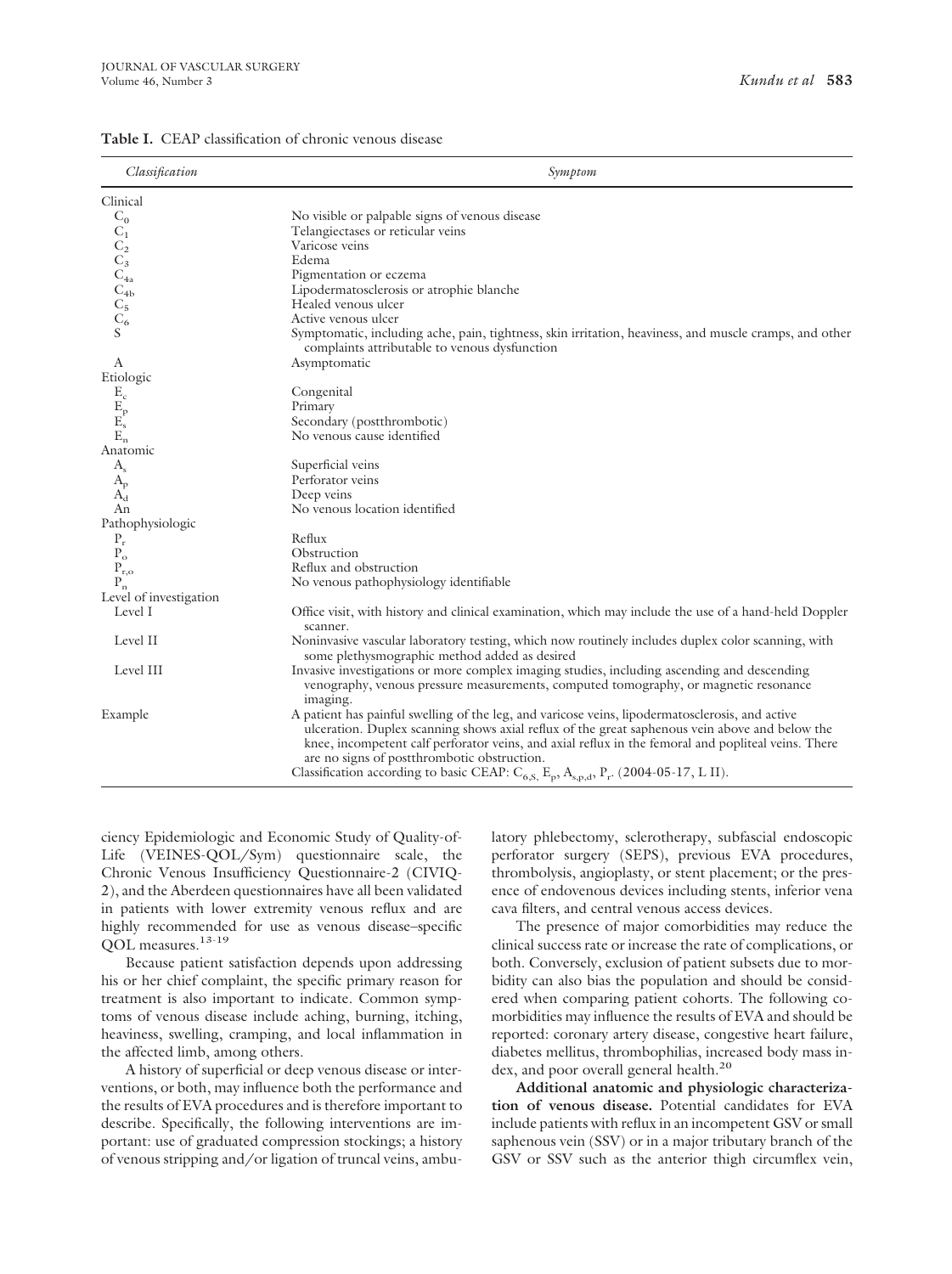| Classification                                         | Symptom                                                                                                                                                                                                                                                                                                                                                                                                                                                                                         |
|--------------------------------------------------------|-------------------------------------------------------------------------------------------------------------------------------------------------------------------------------------------------------------------------------------------------------------------------------------------------------------------------------------------------------------------------------------------------------------------------------------------------------------------------------------------------|
| Clinical                                               |                                                                                                                                                                                                                                                                                                                                                                                                                                                                                                 |
| $C_0$                                                  | No visible or palpable signs of venous disease                                                                                                                                                                                                                                                                                                                                                                                                                                                  |
| $C_1$                                                  | Telangiectases or reticular veins                                                                                                                                                                                                                                                                                                                                                                                                                                                               |
| $\mathrm{C}_2$                                         | Varicose veins                                                                                                                                                                                                                                                                                                                                                                                                                                                                                  |
|                                                        | Edema                                                                                                                                                                                                                                                                                                                                                                                                                                                                                           |
|                                                        | Pigmentation or eczema                                                                                                                                                                                                                                                                                                                                                                                                                                                                          |
| $\begin{array}{c} C_3 \\ C_{4a} \\ C_{4b} \end{array}$ | Lipodermatosclerosis or atrophie blanche                                                                                                                                                                                                                                                                                                                                                                                                                                                        |
| $C_5$                                                  | Healed venous ulcer                                                                                                                                                                                                                                                                                                                                                                                                                                                                             |
| $C_6$                                                  | Active venous ulcer                                                                                                                                                                                                                                                                                                                                                                                                                                                                             |
| S                                                      | Symptomatic, including ache, pain, tightness, skin irritation, heaviness, and muscle cramps, and other<br>complaints attributable to venous dysfunction                                                                                                                                                                                                                                                                                                                                         |
| A                                                      | Asymptomatic                                                                                                                                                                                                                                                                                                                                                                                                                                                                                    |
| Etiologic                                              |                                                                                                                                                                                                                                                                                                                                                                                                                                                                                                 |
| $E_c$                                                  | Congenital                                                                                                                                                                                                                                                                                                                                                                                                                                                                                      |
|                                                        | Primary                                                                                                                                                                                                                                                                                                                                                                                                                                                                                         |
| $\rm \frac{E_{p}}{E_{s}}$                              | Secondary (postthrombotic)                                                                                                                                                                                                                                                                                                                                                                                                                                                                      |
| $E_n$                                                  | No venous cause identified                                                                                                                                                                                                                                                                                                                                                                                                                                                                      |
| Anatomic                                               |                                                                                                                                                                                                                                                                                                                                                                                                                                                                                                 |
| $\rm A_s$                                              | Superficial veins                                                                                                                                                                                                                                                                                                                                                                                                                                                                               |
| $A_{p}$                                                | Perforator veins                                                                                                                                                                                                                                                                                                                                                                                                                                                                                |
| $A_d$                                                  | Deep veins                                                                                                                                                                                                                                                                                                                                                                                                                                                                                      |
| An                                                     | No venous location identified                                                                                                                                                                                                                                                                                                                                                                                                                                                                   |
| Pathophysiologic                                       |                                                                                                                                                                                                                                                                                                                                                                                                                                                                                                 |
| $P_r$                                                  | Reflux                                                                                                                                                                                                                                                                                                                                                                                                                                                                                          |
| $\rm P_o$                                              | Obstruction                                                                                                                                                                                                                                                                                                                                                                                                                                                                                     |
| $P_{r,o}$                                              | Reflux and obstruction                                                                                                                                                                                                                                                                                                                                                                                                                                                                          |
| $P_n$                                                  | No venous pathophysiology identifiable                                                                                                                                                                                                                                                                                                                                                                                                                                                          |
| Level of investigation                                 |                                                                                                                                                                                                                                                                                                                                                                                                                                                                                                 |
| Level I                                                | Office visit, with history and clinical examination, which may include the use of a hand-held Doppler<br>scanner.                                                                                                                                                                                                                                                                                                                                                                               |
| Level II                                               | Noninvasive vascular laboratory testing, which now routinely includes duplex color scanning, with<br>some plethysmographic method added as desired                                                                                                                                                                                                                                                                                                                                              |
| Level III                                              | Invasive investigations or more complex imaging studies, including ascending and descending<br>venography, venous pressure measurements, computed tomography, or magnetic resonance<br>imaging.                                                                                                                                                                                                                                                                                                 |
| Example                                                | A patient has painful swelling of the leg, and varicose veins, lipodermatosclerosis, and active<br>ulceration. Duplex scanning shows axial reflux of the great saphenous vein above and below the<br>knee, incompetent calf perforator veins, and axial reflux in the femoral and popliteal veins. There<br>are no signs of postthrombotic obstruction.<br>Classification according to basic CEAP: C <sub>6,S,</sub> E <sub>p</sub> , A <sub>s,p,d</sub> , P <sub>r</sub> . (2004-05-17, L II). |

<span id="page-1-0"></span>**Table I.** CEAP classification of chronic venous disease

ciency Epidemiologic and Economic Study of Quality-of-Life (VEINES-QOL/Sym) questionnaire scale, the Chronic Venous Insufficiency Questionnaire-2 (CIVIQ-2), and the Aberdeen questionnaires have all been validated in patients with lower extremity venous reflux and are highly recommended for use as venous disease–specific QOL measures[.13-19](#page-7-0)

Because patient satisfaction depends upon addressing his or her chief complaint, the specific primary reason for treatment is also important to indicate. Common symptoms of venous disease include aching, burning, itching, heaviness, swelling, cramping, and local inflammation in the affected limb, among others.

A history of superficial or deep venous disease or interventions, or both, may influence both the performance and the results of EVA procedures and is therefore important to describe. Specifically, the following interventions are important: use of graduated compression stockings; a history of venous stripping and/or ligation of truncal veins, ambulatory phlebectomy, sclerotherapy, subfascial endoscopic perforator surgery (SEPS), previous EVA procedures, thrombolysis, angioplasty, or stent placement; or the presence of endovenous devices including stents, inferior vena cava filters, and central venous access devices.

The presence of major comorbidities may reduce the clinical success rate or increase the rate of complications, or both. Conversely, exclusion of patient subsets due to morbidity can also bias the population and should be considered when comparing patient cohorts. The following comorbidities may influence the results of EVA and should be reported: coronary artery disease, congestive heart failure, diabetes mellitus, thrombophilias, increased body mass index, and poor overall general health.<sup>20</sup>

**Additional anatomic and physiologic characterization of venous disease.** Potential candidates for EVA include patients with reflux in an incompetent GSV or small saphenous vein (SSV) or in a major tributary branch of the GSV or SSV such as the anterior thigh circumflex vein,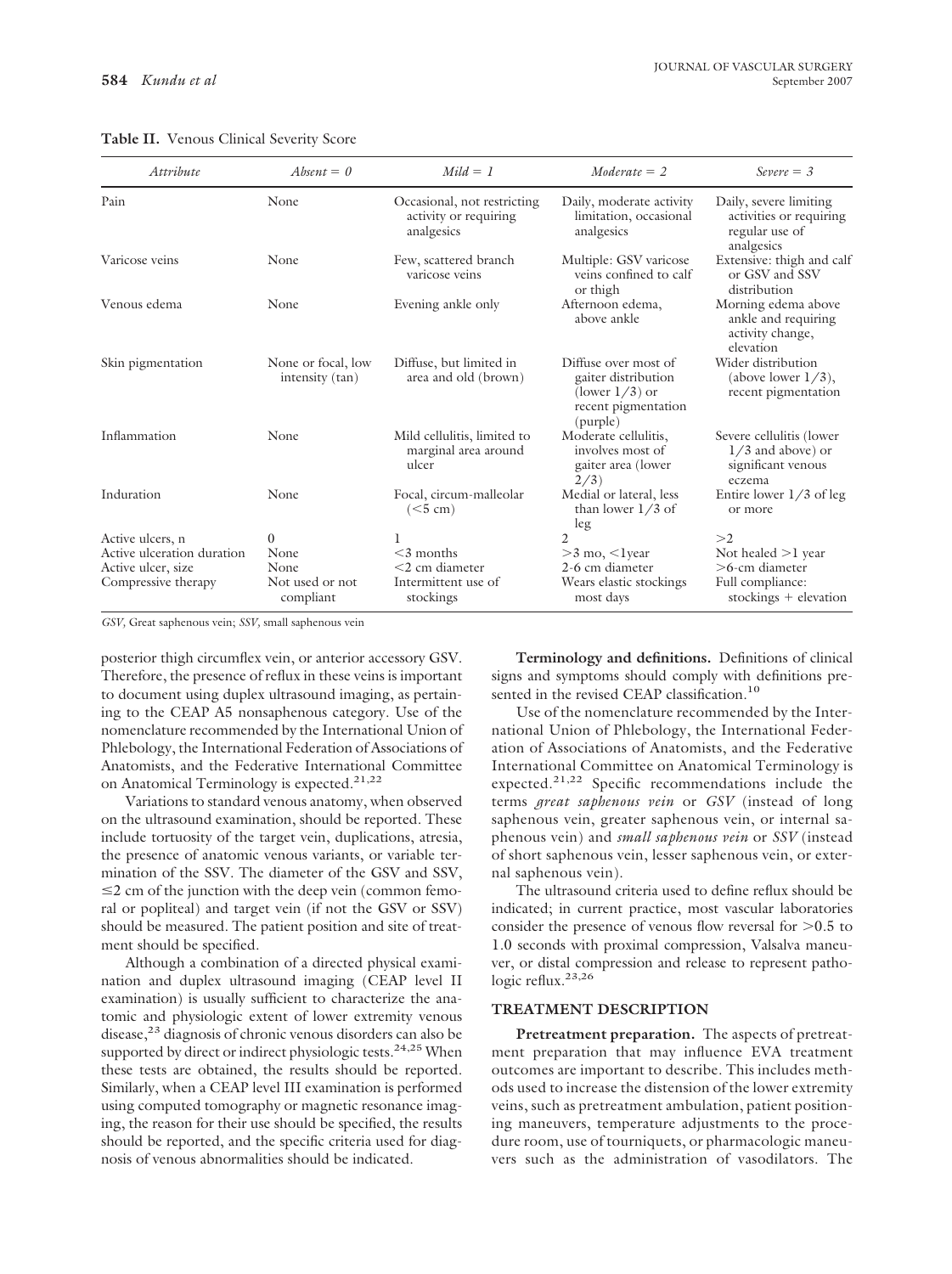| Attribute                  | $Abstract = 0$                        | $Mild = 1$                                                         | $Moderate = 2$                                                                                      | $Severe = 3$                                                                      |
|----------------------------|---------------------------------------|--------------------------------------------------------------------|-----------------------------------------------------------------------------------------------------|-----------------------------------------------------------------------------------|
| Pain                       | None                                  | Occasional, not restricting<br>activity or requiring<br>analgesics | Daily, moderate activity<br>limitation, occasional<br>analgesics                                    | Daily, severe limiting<br>activities or requiring<br>regular use of<br>analgesics |
| Varicose veins             | None                                  | Few, scattered branch<br>varicose veins                            | Multiple: GSV varicose<br>veins confined to calf<br>or thigh                                        | Extensive: thigh and calf<br>or GSV and SSV<br>distribution                       |
| Venous edema               | None                                  | Evening ankle only                                                 | Afternoon edema,<br>above ankle                                                                     | Morning edema above<br>ankle and requiring<br>activity change,<br>elevation       |
| Skin pigmentation          | None or focal, low<br>intensity (tan) | Diffuse, but limited in<br>area and old (brown)                    | Diffuse over most of<br>gaiter distribution<br>(lower $1/3$ ) or<br>recent pigmentation<br>(purple) | Wider distribution<br>(above lower $1/3$ ),<br>recent pigmentation                |
| Inflammation               | None                                  | Mild cellulitis, limited to<br>marginal area around<br>ulcer       | Moderate cellulitis,<br>involves most of<br>gaiter area (lower<br>2/3)                              | Severe cellulitis (lower<br>$1/3$ and above) or<br>significant venous<br>eczema   |
| Induration                 | None                                  | Focal, circum-malleolar<br>(<5 cm)                                 | Medial or lateral, less<br>than lower $1/3$ of<br>leg                                               | Entire lower $1/3$ of leg<br>or more                                              |
| Active ulcers, n           | $\Omega$                              |                                                                    | $\mathfrak{D}$                                                                                      | >2                                                                                |
| Active ulceration duration | None                                  | $<$ 3 months                                                       | $>3$ mo, $<$ lyear                                                                                  | Not healed $>1$ year                                                              |
| Active ulcer, size         | None                                  | $<$ 2 cm diameter                                                  | 2-6 cm diameter                                                                                     | $>6$ -cm diameter                                                                 |
| Compressive therapy        | Not used or not<br>compliant          | Intermittent use of<br>stockings                                   | Wears elastic stockings<br>most days                                                                | Full compliance:<br>stockings $+$ elevation                                       |

#### <span id="page-2-0"></span>**Table II.** Venous Clinical Severity Score

*GSV,* Great saphenous vein; *SSV,* small saphenous vein

posterior thigh circumflex vein, or anterior accessory GSV. Therefore, the presence of reflux in these veins is important to document using duplex ultrasound imaging, as pertaining to the CEAP A5 nonsaphenous category. Use of the nomenclature recommended by the International Union of Phlebology, the International Federation of Associations of Anatomists, and the Federative International Committee on Anatomical Terminology is expected.<sup>21,22</sup>

Variations to standard venous anatomy, when observed on the ultrasound examination, should be reported. These include tortuosity of the target vein, duplications, atresia, the presence of anatomic venous variants, or variable termination of the SSV. The diameter of the GSV and SSV,  $\leq$  2 cm of the junction with the deep vein (common femoral or popliteal) and target vein (if not the GSV or SSV) should be measured. The patient position and site of treatment should be specified.

Although a combination of a directed physical examination and duplex ultrasound imaging (CEAP level II examination) is usually sufficient to characterize the anatomic and physiologic extent of lower extremity venous disease,<sup>23</sup> diagnosis of chronic venous disorders can also be supported by direct or indirect physiologic tests.<sup>24,25</sup> When these tests are obtained, the results should be reported. Similarly, when a CEAP level III examination is performed using computed tomography or magnetic resonance imaging, the reason for their use should be specified, the results should be reported, and the specific criteria used for diagnosis of venous abnormalities should be indicated.

**Terminology and definitions.** Definitions of clinical signs and symptoms should comply with definitions presented in the revised CEAP classification.<sup>10</sup>

Use of the nomenclature recommended by the International Union of Phlebology, the International Federation of Associations of Anatomists, and the Federative International Committee on Anatomical Terminology is expected.<sup>[21,22](#page-7-0)</sup> Specific recommendations include the terms *great saphenous vein* or *GSV* (instead of long saphenous vein, greater saphenous vein, or internal saphenous vein) and *small saphenous vein* or *SSV* (instead of short saphenous vein, lesser saphenous vein, or external saphenous vein).

The ultrasound criteria used to define reflux should be indicated; in current practice, most vascular laboratories consider the presence of venous flow reversal for  $>0.5$  to 1.0 seconds with proximal compression, Valsalva maneuver, or distal compression and release to represent pathologic reflux.<sup>23,26</sup>

#### **TREATMENT DESCRIPTION**

**Pretreatment preparation.** The aspects of pretreatment preparation that may influence EVA treatment outcomes are important to describe. This includes methods used to increase the distension of the lower extremity veins, such as pretreatment ambulation, patient positioning maneuvers, temperature adjustments to the procedure room, use of tourniquets, or pharmacologic maneuvers such as the administration of vasodilators. The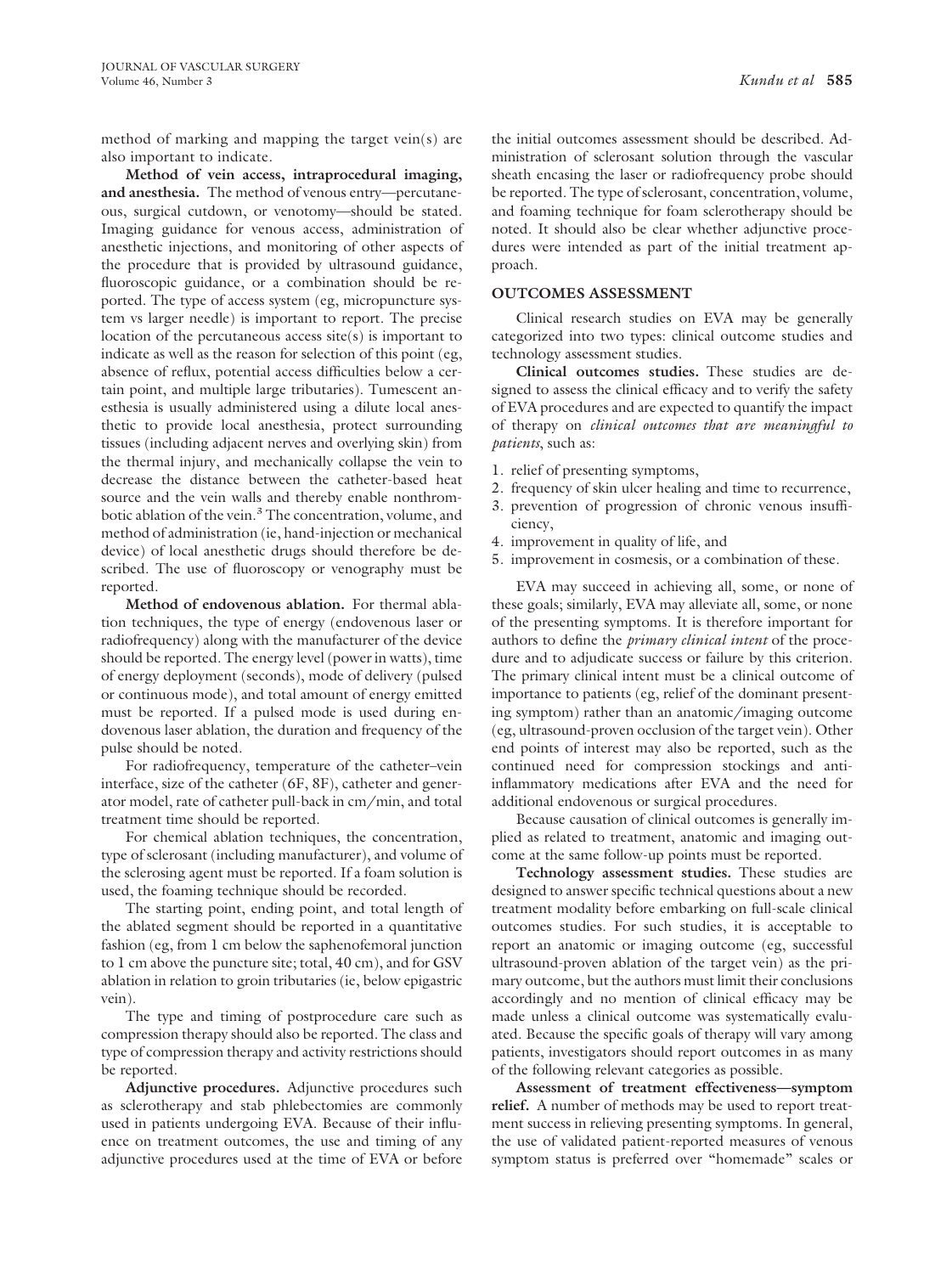method of marking and mapping the target vein(s) are also important to indicate.

**Method of vein access, intraprocedural imaging, and anesthesia.** The method of venous entry—percutaneous, surgical cutdown, or venotomy—should be stated. Imaging guidance for venous access, administration of anesthetic injections, and monitoring of other aspects of the procedure that is provided by ultrasound guidance, fluoroscopic guidance, or a combination should be reported. The type of access system (eg, micropuncture system vs larger needle) is important to report. The precise location of the percutaneous access site(s) is important to indicate as well as the reason for selection of this point (eg, absence of reflux, potential access difficulties below a certain point, and multiple large tributaries). Tumescent anesthesia is usually administered using a dilute local anesthetic to provide local anesthesia, protect surrounding tissues (including adjacent nerves and overlying skin) from the thermal injury, and mechanically collapse the vein to decrease the distance between the catheter-based heat source and the vein walls and thereby enable nonthrombotic ablation of the vein.<sup>3</sup> The concentration, volume, and method of administration (ie, hand-injection or mechanical device) of local anesthetic drugs should therefore be described. The use of fluoroscopy or venography must be reported.

**Method of endovenous ablation.** For thermal ablation techniques, the type of energy (endovenous laser or radiofrequency) along with the manufacturer of the device should be reported. The energy level (power in watts), time of energy deployment (seconds), mode of delivery (pulsed or continuous mode), and total amount of energy emitted must be reported. If a pulsed mode is used during endovenous laser ablation, the duration and frequency of the pulse should be noted.

For radiofrequency, temperature of the catheter–vein interface, size of the catheter (6F, 8F), catheter and generator model, rate of catheter pull-back in cm/min, and total treatment time should be reported.

For chemical ablation techniques, the concentration, type of sclerosant (including manufacturer), and volume of the sclerosing agent must be reported. If a foam solution is used, the foaming technique should be recorded.

The starting point, ending point, and total length of the ablated segment should be reported in a quantitative fashion (eg, from 1 cm below the saphenofemoral junction to 1 cm above the puncture site; total, 40 cm), and for GSV ablation in relation to groin tributaries (ie, below epigastric vein).

The type and timing of postprocedure care such as compression therapy should also be reported. The class and type of compression therapy and activity restrictions should be reported.

**Adjunctive procedures.** Adjunctive procedures such as sclerotherapy and stab phlebectomies are commonly used in patients undergoing EVA. Because of their influence on treatment outcomes, the use and timing of any adjunctive procedures used at the time of EVA or before the initial outcomes assessment should be described. Administration of sclerosant solution through the vascular sheath encasing the laser or radiofrequency probe should be reported. The type of sclerosant, concentration, volume, and foaming technique for foam sclerotherapy should be noted. It should also be clear whether adjunctive procedures were intended as part of the initial treatment approach.

## **OUTCOMES ASSESSMENT**

Clinical research studies on EVA may be generally categorized into two types: clinical outcome studies and technology assessment studies.

**Clinical outcomes studies.** These studies are designed to assess the clinical efficacy and to verify the safety of EVA procedures and are expected to quantify the impact of therapy on *clinical outcomes that are meaningful to patients*, such as:

- 1. relief of presenting symptoms,
- 2. frequency of skin ulcer healing and time to recurrence,
- 3. prevention of progression of chronic venous insufficiency,
- 4. improvement in quality of life, and
- 5. improvement in cosmesis, or a combination of these.

EVA may succeed in achieving all, some, or none of these goals; similarly, EVA may alleviate all, some, or none of the presenting symptoms. It is therefore important for authors to define the *primary clinical intent* of the procedure and to adjudicate success or failure by this criterion. The primary clinical intent must be a clinical outcome of importance to patients (eg, relief of the dominant presenting symptom) rather than an anatomic/imaging outcome (eg, ultrasound-proven occlusion of the target vein). Other end points of interest may also be reported, such as the continued need for compression stockings and antiinflammatory medications after EVA and the need for additional endovenous or surgical procedures.

Because causation of clinical outcomes is generally implied as related to treatment, anatomic and imaging outcome at the same follow-up points must be reported.

**Technology assessment studies.** These studies are designed to answer specific technical questions about a new treatment modality before embarking on full-scale clinical outcomes studies. For such studies, it is acceptable to report an anatomic or imaging outcome (eg, successful ultrasound-proven ablation of the target vein) as the primary outcome, but the authors must limit their conclusions accordingly and no mention of clinical efficacy may be made unless a clinical outcome was systematically evaluated. Because the specific goals of therapy will vary among patients, investigators should report outcomes in as many of the following relevant categories as possible.

**Assessment of treatment effectiveness—symptom relief.** A number of methods may be used to report treatment success in relieving presenting symptoms. In general, the use of validated patient-reported measures of venous symptom status is preferred over "homemade" scales or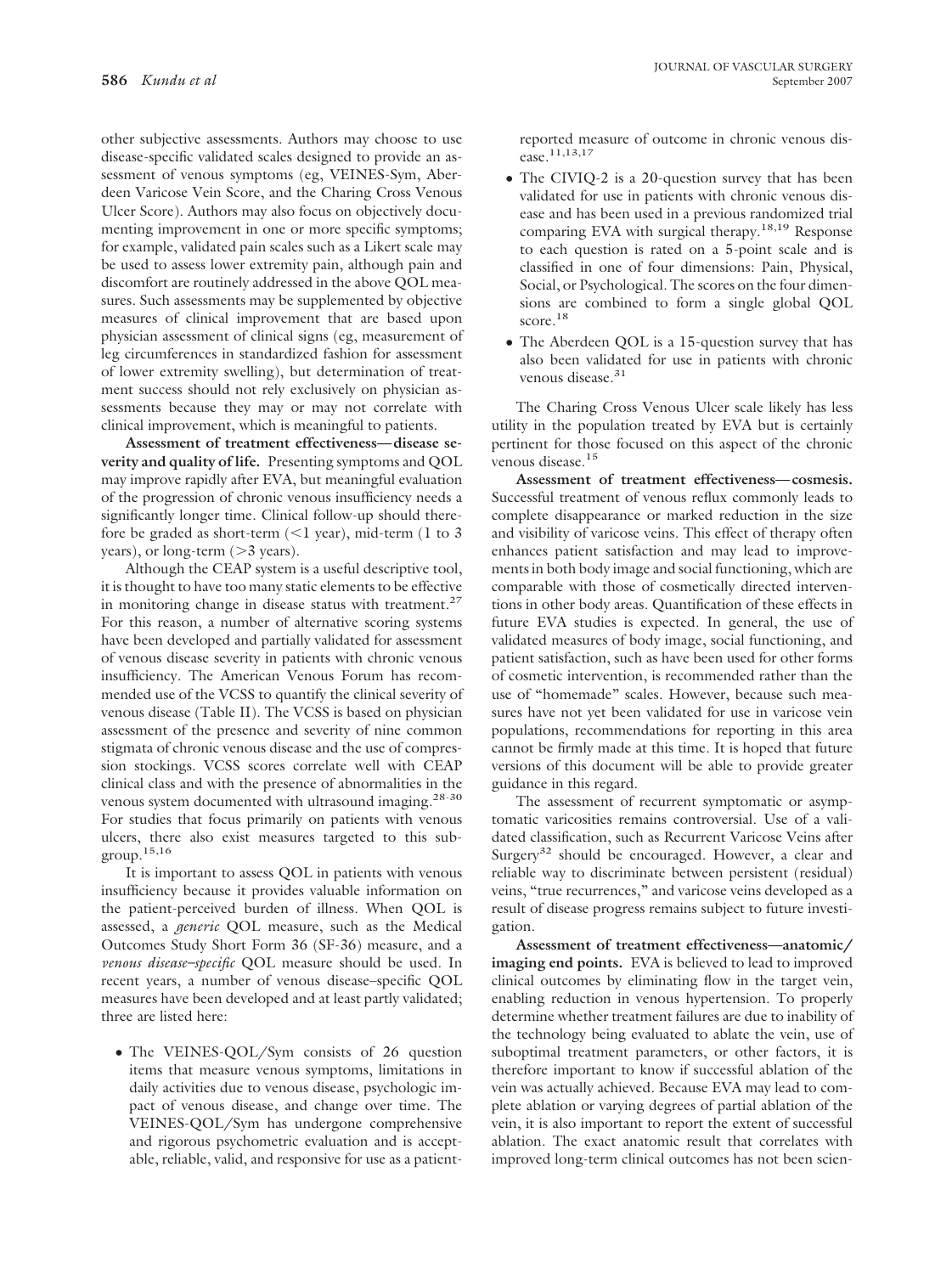other subjective assessments. Authors may choose to use disease-specific validated scales designed to provide an assessment of venous symptoms (eg, VEINES-Sym, Aberdeen Varicose Vein Score, and the Charing Cross Venous Ulcer Score). Authors may also focus on objectively documenting improvement in one or more specific symptoms; for example, validated pain scales such as a Likert scale may be used to assess lower extremity pain, although pain and discomfort are routinely addressed in the above QOL measures. Such assessments may be supplemented by objective measures of clinical improvement that are based upon physician assessment of clinical signs (eg, measurement of leg circumferences in standardized fashion for assessment of lower extremity swelling), but determination of treatment success should not rely exclusively on physician assessments because they may or may not correlate with clinical improvement, which is meaningful to patients.

**Assessment of treatment effectiveness—disease severity and quality of life.** Presenting symptoms and QOL may improve rapidly after EVA, but meaningful evaluation of the progression of chronic venous insufficiency needs a significantly longer time. Clinical follow-up should therefore be graded as short-term  $(l year)$ , mid-term (1 to 3) years), or long-term  $(>3$  years).

Although the CEAP system is a useful descriptive tool, it is thought to have too many static elements to be effective in monitoring change in disease status with treatment. $27$ For this reason, a number of alternative scoring systems have been developed and partially validated for assessment of venous disease severity in patients with chronic venous insufficiency. The American Venous Forum has recommended use of the VCSS to quantify the clinical severity of venous disease [\(Table II\)](#page-2-0). The VCSS is based on physician assessment of the presence and severity of nine common stigmata of chronic venous disease and the use of compression stockings. VCSS scores correlate well with CEAP clinical class and with the presence of abnormalities in the venous system documented with ultrasound imaging.<sup>28-30</sup> For studies that focus primarily on patients with venous ulcers, there also exist measures targeted to this subgroup[.15,16](#page-7-0)

It is important to assess QOL in patients with venous insufficiency because it provides valuable information on the patient-perceived burden of illness. When QOL is assessed, a *generic* QOL measure, such as the Medical Outcomes Study Short Form 36 (SF-36) measure, and a *venous disease–specific* QOL measure should be used. In recent years, a number of venous disease–specific QOL measures have been developed and at least partly validated; three are listed here:

• The VEINES-QOL/Sym consists of 26 question items that measure venous symptoms, limitations in daily activities due to venous disease, psychologic impact of venous disease, and change over time. The VEINES-QOL/Sym has undergone comprehensive and rigorous psychometric evaluation and is acceptable, reliable, valid, and responsive for use as a patientreported measure of outcome in chronic venous disease[.11,13,17](#page-7-0)

- The CIVIQ-2 is a 20-question survey that has been validated for use in patients with chronic venous disease and has been used in a previous randomized trial comparing EVA with surgical therapy[.18,19](#page-7-0) Response to each question is rated on a 5-point scale and is classified in one of four dimensions: Pain, Physical, Social, or Psychological. The scores on the four dimensions are combined to form a single global QOL score.<sup>18</sup>
- The Aberdeen QOL is a 15-question survey that has also been validated for use in patients with chronic venous disease.<sup>31</sup>

The Charing Cross Venous Ulcer scale likely has less utility in the population treated by EVA but is certainly pertinent for those focused on this aspect of the chronic venous disease.<sup>15</sup>

**Assessment of treatment effectiveness— cosmesis.** Successful treatment of venous reflux commonly leads to complete disappearance or marked reduction in the size and visibility of varicose veins. This effect of therapy often enhances patient satisfaction and may lead to improvements in both body image and social functioning, which are comparable with those of cosmetically directed interventions in other body areas. Quantification of these effects in future EVA studies is expected. In general, the use of validated measures of body image, social functioning, and patient satisfaction, such as have been used for other forms of cosmetic intervention, is recommended rather than the use of "homemade" scales. However, because such measures have not yet been validated for use in varicose vein populations, recommendations for reporting in this area cannot be firmly made at this time. It is hoped that future versions of this document will be able to provide greater guidance in this regard.

The assessment of recurrent symptomatic or asymptomatic varicosities remains controversial. Use of a validated classification, such as Recurrent Varicose Veins after Surgery<sup>32</sup> should be encouraged. However, a clear and reliable way to discriminate between persistent (residual) veins, "true recurrences," and varicose veins developed as a result of disease progress remains subject to future investigation.

**Assessment of treatment effectiveness—anatomic/ imaging end points.** EVA is believed to lead to improved clinical outcomes by eliminating flow in the target vein, enabling reduction in venous hypertension. To properly determine whether treatment failures are due to inability of the technology being evaluated to ablate the vein, use of suboptimal treatment parameters, or other factors, it is therefore important to know if successful ablation of the vein was actually achieved. Because EVA may lead to complete ablation or varying degrees of partial ablation of the vein, it is also important to report the extent of successful ablation. The exact anatomic result that correlates with improved long-term clinical outcomes has not been scien-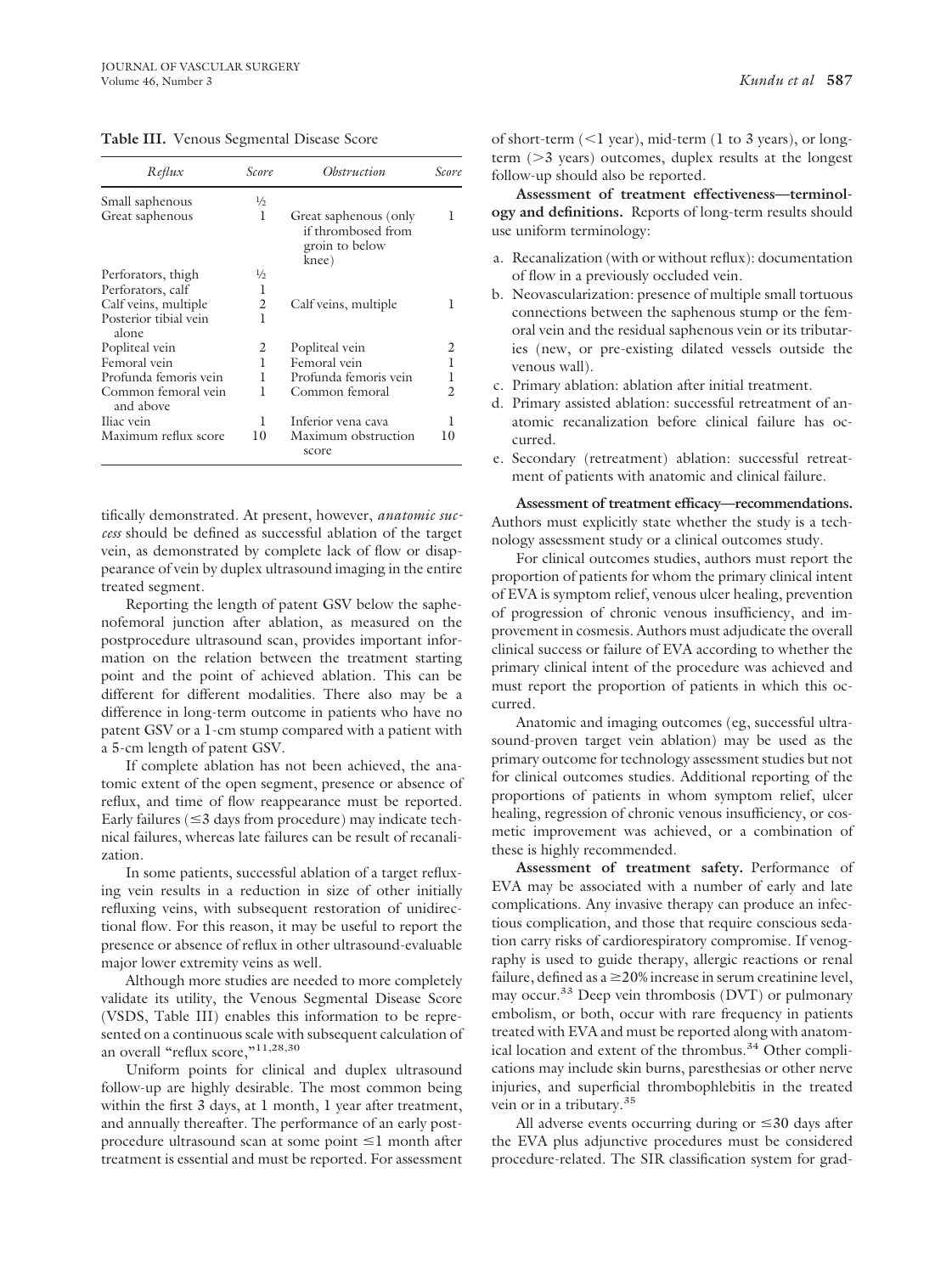**Table III.** Venous Segmental Disease Score

| Reflux                           | Score          | Ohstruction                                                            | Score          |
|----------------------------------|----------------|------------------------------------------------------------------------|----------------|
| Small saphenous                  | $\frac{1}{2}$  |                                                                        |                |
| Great saphenous                  | 1              | Great saphenous (only<br>if thrombosed from<br>groin to below<br>knee) |                |
| Perforators, thigh               | $\frac{1}{2}$  |                                                                        |                |
| Perforators, calf                | 1              |                                                                        |                |
| Calf veins, multiple             | $\overline{c}$ | Calf veins, multiple                                                   |                |
| Posterior tibial vein<br>alone   | ı              |                                                                        |                |
| Popliteal vein                   | 2              | Popliteal vein                                                         | 2              |
| Femoral vein                     | ı              | Femoral vein                                                           |                |
| Profunda femoris vein            | ı              | Profunda femoris vein                                                  |                |
| Common femoral vein<br>and above | ı              | Common femoral                                                         | $\mathfrak{D}$ |
| Iliac vein                       | T              | Inferior vena cava                                                     |                |
| Maximum reflux score             | 10             | Maximum obstruction<br>score                                           | 10             |

tifically demonstrated. At present, however, *anatomic success* should be defined as successful ablation of the target vein, as demonstrated by complete lack of flow or disappearance of vein by duplex ultrasound imaging in the entire treated segment.

Reporting the length of patent GSV below the saphenofemoral junction after ablation, as measured on the postprocedure ultrasound scan, provides important information on the relation between the treatment starting point and the point of achieved ablation. This can be different for different modalities. There also may be a difference in long-term outcome in patients who have no patent GSV or a 1-cm stump compared with a patient with a 5-cm length of patent GSV.

If complete ablation has not been achieved, the anatomic extent of the open segment, presence or absence of reflux, and time of flow reappearance must be reported. Early failures ( $\leq$ 3 days from procedure) may indicate technical failures, whereas late failures can be result of recanalization.

In some patients, successful ablation of a target refluxing vein results in a reduction in size of other initially refluxing veins, with subsequent restoration of unidirectional flow. For this reason, it may be useful to report the presence or absence of reflux in other ultrasound-evaluable major lower extremity veins as well.

Although more studies are needed to more completely validate its utility, the Venous Segmental Disease Score (VSDS, Table III) enables this information to be represented on a continuous scale with subsequent calculation of an overall "reflux score,["11,28,30](#page-7-0)

Uniform points for clinical and duplex ultrasound follow-up are highly desirable. The most common being within the first 3 days, at 1 month, 1 year after treatment, and annually thereafter. The performance of an early postprocedure ultrasound scan at some point  $\leq$  1 month after treatment is essential and must be reported. For assessment of short-term  $(1$  year), mid-term  $(1$  to 3 years), or longterm  $(>= 3$  years) outcomes, duplex results at the longest follow-up should also be reported.

**Assessment of treatment effectiveness—terminology and definitions.** Reports of long-term results should use uniform terminology:

- a. Recanalization (with or without reflux): documentation of flow in a previously occluded vein.
- b. Neovascularization: presence of multiple small tortuous connections between the saphenous stump or the femoral vein and the residual saphenous vein or its tributaries (new, or pre-existing dilated vessels outside the venous wall).
- c. Primary ablation: ablation after initial treatment.
- d. Primary assisted ablation: successful retreatment of anatomic recanalization before clinical failure has occurred.
- e. Secondary (retreatment) ablation: successful retreatment of patients with anatomic and clinical failure.

**Assessment of treatment efficacy—recommendations.** Authors must explicitly state whether the study is a technology assessment study or a clinical outcomes study.

For clinical outcomes studies, authors must report the proportion of patients for whom the primary clinical intent of EVA is symptom relief, venous ulcer healing, prevention of progression of chronic venous insufficiency, and improvement in cosmesis. Authors must adjudicate the overall clinical success or failure of EVA according to whether the primary clinical intent of the procedure was achieved and must report the proportion of patients in which this occurred.

Anatomic and imaging outcomes (eg, successful ultrasound-proven target vein ablation) may be used as the primary outcome for technology assessment studies but not for clinical outcomes studies. Additional reporting of the proportions of patients in whom symptom relief, ulcer healing, regression of chronic venous insufficiency, or cosmetic improvement was achieved, or a combination of these is highly recommended.

**Assessment of treatment safety.** Performance of EVA may be associated with a number of early and late complications. Any invasive therapy can produce an infectious complication, and those that require conscious sedation carry risks of cardiorespiratory compromise. If venography is used to guide therapy, allergic reactions or renal failure, defined as a  $\geq$ 20% increase in serum creatinine level, may occur.<sup>33</sup> Deep vein thrombosis (DVT) or pulmonary embolism, or both, occur with rare frequency in patients treated with EVA and must be reported along with anatomical location and extent of the thrombus.<sup>34</sup> Other complications may include skin burns, paresthesias or other nerve injuries, and superficial thrombophlebitis in the treated vein or in a tributary.<sup>35</sup>

All adverse events occurring during or  $\leq 30$  days after the EVA plus adjunctive procedures must be considered procedure-related. The SIR classification system for grad-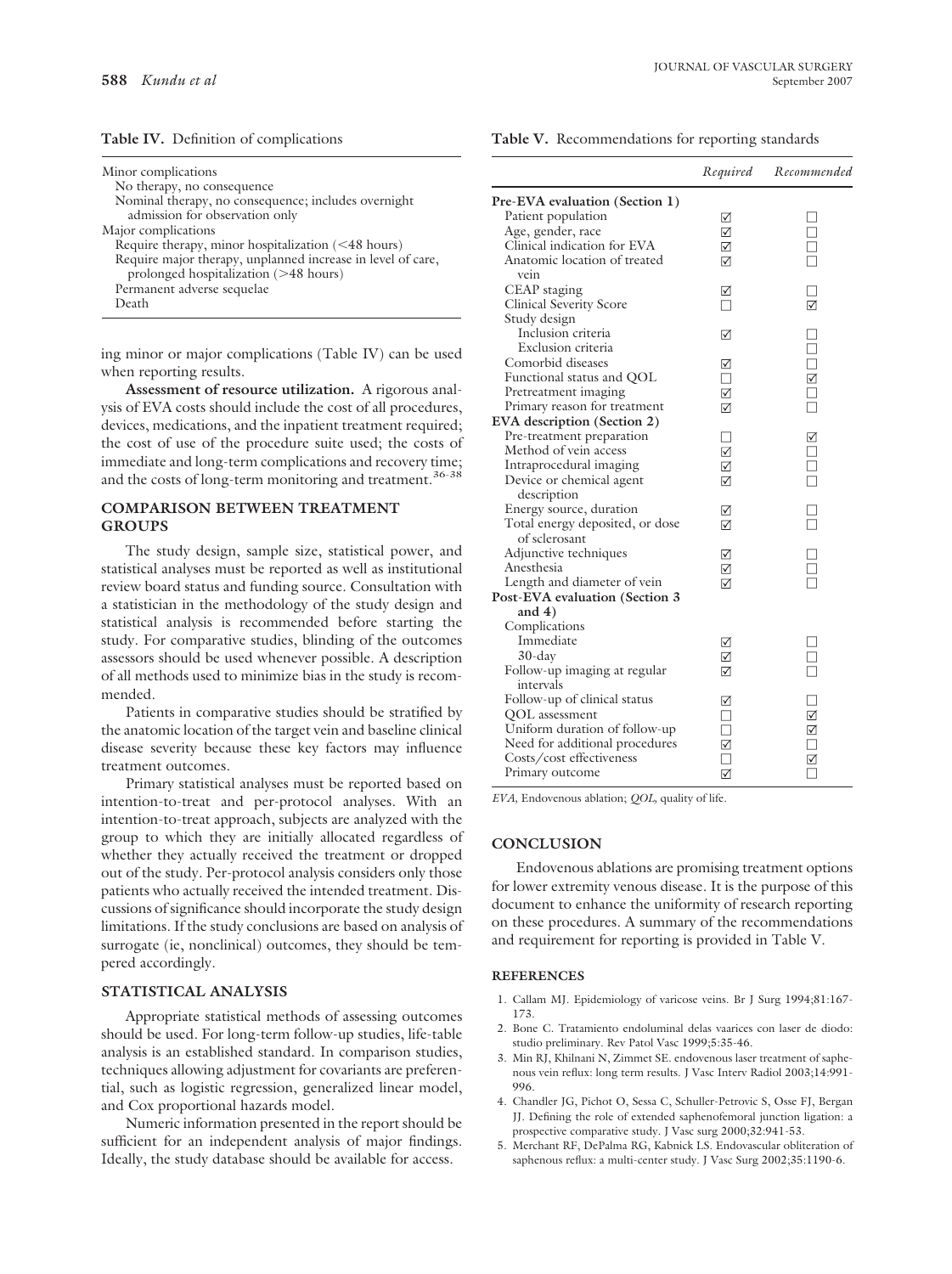<span id="page-6-0"></span>

| Minor complications                                         |
|-------------------------------------------------------------|
| No therapy, no consequence                                  |
| Nominal therapy, no consequence; includes overnight         |
| admission for observation only                              |
| Major complications                                         |
| Require therapy, minor hospitalization $(< 48$ hours)       |
| Require major therapy, unplanned increase in level of care, |
| prolonged hospitalization $($ >48 hours $)$                 |
| Permanent adverse sequelae                                  |
| Death                                                       |
|                                                             |

ing minor or major complications (Table IV) can be used when reporting results.

**Assessment of resource utilization.** A rigorous analysis of EVA costs should include the cost of all procedures, devices, medications, and the inpatient treatment required; the cost of use of the procedure suite used; the costs of immediate and long-term complications and recovery time; and the costs of long-term monitoring and treatment.<sup>36-38</sup>

## **COMPARISON BETWEEN TREATMENT GROUPS**

The study design, sample size, statistical power, and statistical analyses must be reported as well as institutional review board status and funding source. Consultation with a statistician in the methodology of the study design and statistical analysis is recommended before starting the study. For comparative studies, blinding of the outcomes assessors should be used whenever possible. A description of all methods used to minimize bias in the study is recommended.

Patients in comparative studies should be stratified by the anatomic location of the target vein and baseline clinical disease severity because these key factors may influence treatment outcomes.

Primary statistical analyses must be reported based on intention-to-treat and per-protocol analyses. With an intention-to-treat approach, subjects are analyzed with the group to which they are initially allocated regardless of whether they actually received the treatment or dropped out of the study. Per-protocol analysis considers only those patients who actually received the intended treatment. Discussions of significance should incorporate the study design limitations. If the study conclusions are based on analysis of surrogate (ie, nonclinical) outcomes, they should be tempered accordingly.

#### **STATISTICAL ANALYSIS**

Appropriate statistical methods of assessing outcomes should be used. For long-term follow-up studies, life-table analysis is an established standard. In comparison studies, techniques allowing adjustment for covariants are preferential, such as logistic regression, generalized linear model, and Cox proportional hazards model.

Numeric information presented in the report should be sufficient for an independent analysis of major findings. Ideally, the study database should be available for access.

|  | Table V. Recommendations for reporting standards |  |  |
|--|--------------------------------------------------|--|--|
|--|--------------------------------------------------|--|--|

|                                    | Required | Recommended |
|------------------------------------|----------|-------------|
| Pre-EVA evaluation (Section 1)     |          |             |
| Patient population                 | ☑        |             |
| Age, gender, race                  | ☑        |             |
| Clinical indication for EVA        | ☑        |             |
| Anatomic location of treated       | ☑        |             |
| vein                               |          |             |
| CEAP staging                       | ☑        |             |
| Clinical Severity Score            | П        | ☑           |
| Study design                       |          |             |
| Inclusion criteria                 | ☑        |             |
| Exclusion criteria                 |          |             |
| Comorbid diseases                  | ☑        | DONDO       |
| Functional status and QOL          | □        |             |
| Pretreatment imaging               | ☑        |             |
| Primary reason for treatment       | ☑        |             |
| <b>EVA</b> description (Section 2) |          |             |
| Pre-treatment preparation          | П        | ☑           |
| Method of vein access              | ☑        | ⊐           |
| Intraprocedural imaging            | ☑        |             |
| Device or chemical agent           | ☑        |             |
| description                        |          |             |
| Energy source, duration            | ☑        |             |
| Total energy deposited, or dose    | ☑        |             |
| of sclerosant                      |          |             |
| Adjunctive techniques              | ☑        |             |
| Anesthesia                         | ☑        |             |
| Length and diameter of vein        | ☑        |             |
| Post-EVA evaluation (Section 3     |          |             |
| and $4)$                           |          |             |
| Complications                      |          |             |
| Immediate                          | ☑        |             |
| 30-day                             | ☑        |             |
| Follow-up imaging at regular       | ☑        |             |
| intervals                          |          |             |
| Follow-up of clinical status       | ☑        |             |
| QOL assessment                     | П        | ☑           |
| Uniform duration of follow-up      | П        | ☑           |
| Need for additional procedures     | M<br>O   |             |
| Costs/cost effectiveness           |          | ☑           |
| Primary outcome                    | ☑        | П           |

*EVA,* Endovenous ablation; *QOL,* quality of life.

## **CONCLUSION**

Endovenous ablations are promising treatment options for lower extremity venous disease. It is the purpose of this document to enhance the uniformity of research reporting on these procedures. A summary of the recommendations and requirement for reporting is provided in Table V.

### **REFERENCES**

- 1. Callam MJ. Epidemiology of varicose veins. Br J Surg 1994;81:167- 173.
- 2. Bone C. Tratamiento endoluminal delas vaarices con laser de diodo: studio preliminary. Rev Patol Vasc 1999;5:35-46.
- 3. Min RJ, Khilnani N, Zimmet SE. endovenous laser treatment of saphenous vein reflux: long term results. J Vasc Interv Radiol 2003;14:991- 996.
- 4. Chandler JG, Pichot O, Sessa C, Schuller-Petrovic S, Osse FJ, Bergan JJ. Defining the role of extended saphenofemoral junction ligation: a prospective comparative study. J Vasc surg 2000;32:941-53.
- 5. Merchant RF, DePalma RG, Kabnick LS. Endovascular obliteration of saphenous reflux: a multi-center study. J Vasc Surg 2002;35:1190-6.